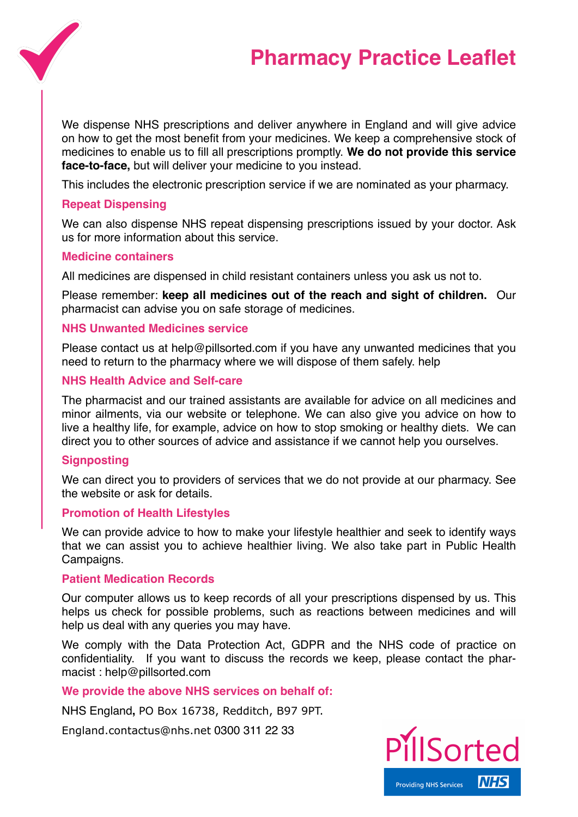

# **Pharmacy Practice Leaflet**

We dispense NHS prescriptions and deliver anywhere in England and will give advice on how to get the most benefit from your medicines. We keep a comprehensive stock of medicines to enable us to fill all prescriptions promptly. **We do not provide this service face-to-face,** but will deliver your medicine to you instead.

This includes the electronic prescription service if we are nominated as your pharmacy.

# **Repeat Dispensing**

We can also dispense NHS repeat dispensing prescriptions issued by your doctor. Ask us for more information about this service.

## **Medicine containers**

All medicines are dispensed in child resistant containers unless you ask us not to.

Please remember: **keep all medicines out of the reach and sight of children.** Our pharmacist can advise you on safe storage of medicines.

## **NHS Unwanted Medicines service**

Please contact us at help@pillsorted.com if you have any unwanted medicines that you need to return to the pharmacy where we will dispose of them safely. help

## **NHS Health Advice and Self-care**

The pharmacist and our trained assistants are available for advice on all medicines and minor ailments, via our website or telephone. We can also give you advice on how to live a healthy life, for example, advice on how to stop smoking or healthy diets. We can direct you to other sources of advice and assistance if we cannot help you ourselves.

#### **Signposting**

We can direct you to providers of services that we do not provide at our pharmacy. See the website or ask for details.

#### **Promotion of Health Lifestyles**

We can provide advice to how to make your lifestyle healthier and seek to identify ways that we can assist you to achieve healthier living. We also take part in Public Health Campaigns.

#### **Patient Medication Records**

Our computer allows us to keep records of all your prescriptions dispensed by us. This helps us check for possible problems, such as reactions between medicines and will help us deal with any queries you may have.

We comply with the Data Protection Act, GDPR and the NHS code of practice on confidentiality. If you want to discuss the records we keep, please contact the phar‐ macist : help@pillsorted.com

**We provide the above NHS services on behalf of:**

NHS England**,** PO Box 16738, Redditch, B97 9PT.

England.contactus@nhs.net 0300 311 22 33